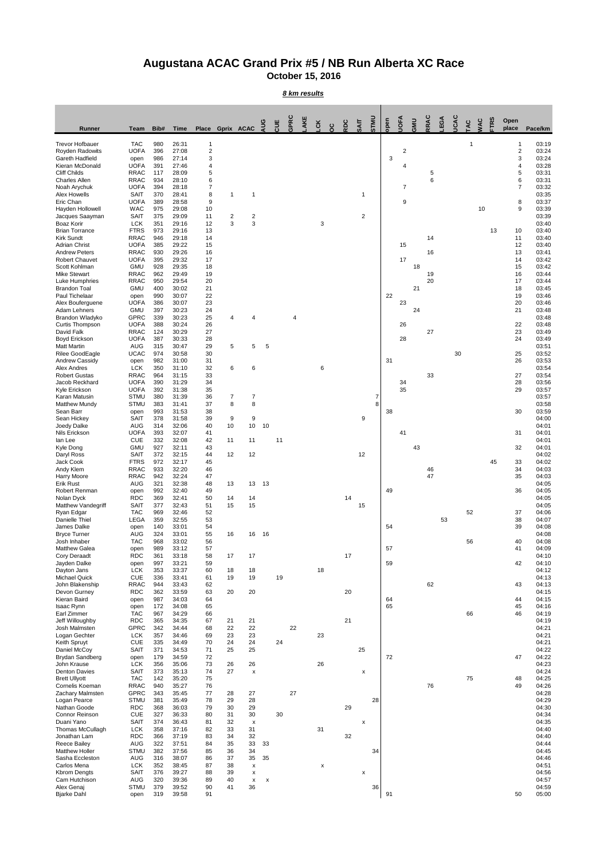## **Augustana ACAC Grand Prix #5 / NB Run Alberta XC Race**

**October 15, 2016**

*8 km results*

| Runner                                       | Team                       | Bib#       | <b>Time</b>    | Place          | Gprix ACAC |                      | guA            | ă  | Ğ  | č              | ត្ថ |    | <b>DINITS</b> | neq      | <b>A</b>       | <b>SMS</b> | RAC      | EGA | š  | ă  | š  | <b>TRS</b> | Open<br>place       | Pace/km        |
|----------------------------------------------|----------------------------|------------|----------------|----------------|------------|----------------------|----------------|----|----|----------------|-----|----|---------------|----------|----------------|------------|----------|-----|----|----|----|------------|---------------------|----------------|
| <b>Trevor Hofbauer</b>                       | <b>TAC</b>                 | 980        | 26:31          | 1              |            |                      |                |    |    |                |     |    |               |          |                |            |          |     |    | 1  |    |            | $\mathbf{1}$        | 03:19          |
| Royden Radowits                              | <b>UOFA</b>                | 396        | 27:08          | $\overline{2}$ |            |                      |                |    |    |                |     |    |               |          | $\overline{2}$ |            |          |     |    |    |    |            | $\overline{2}$      | 03:24          |
| Gareth Hadfield<br>Kieran McDonald           | open<br><b>UOFA</b>        | 986<br>391 | 27:14<br>27:46 | 3<br>4         |            |                      |                |    |    |                |     |    |               | 3        | 4              |            |          |     |    |    |    |            | 3<br>4              | 03:24<br>03:28 |
| <b>Cliff Childs</b>                          | <b>RRAC</b>                | 117        | 28:09          | 5              |            |                      |                |    |    |                |     |    |               |          |                |            | 5        |     |    |    |    |            | 5                   | 03:31          |
| <b>Charles Allen</b><br>Noah Arychuk         | <b>RRAC</b><br><b>UOFA</b> | 934<br>394 | 28:10<br>28:18 | 6<br>7         |            |                      |                |    |    |                |     |    |               |          | $\overline{7}$ |            | 6        |     |    |    |    |            | 6<br>$\overline{7}$ | 03:31<br>03:32 |
| Alex Howells                                 | <b>SAIT</b>                | 370<br>389 | 28:41<br>28:58 | 8<br>9         | 1          | 1                    |                |    |    |                |     | 1  |               |          | 9              |            |          |     |    |    |    |            | 8                   | 03:35<br>03:37 |
| Eric Chan<br>Hayden Hollowell                | <b>UOFA</b><br><b>WAC</b>  | 975        | 29:08          | 10             |            |                      |                |    |    |                |     |    |               |          |                |            |          |     |    |    | 10 |            | 9                   | 03:39          |
| Jacques Saayman<br>Boaz Korir                | <b>SAIT</b>                | 375<br>351 | 29:09<br>29:16 | 11<br>12       | 2<br>3     | 2<br>3               |                |    |    | 3              |     | 2  |               |          |                |            |          |     |    |    |    |            |                     | 03:39          |
| <b>Brian Torrance</b>                        | <b>LCK</b><br><b>FTRS</b>  | 973        | 29:16          | 13             |            |                      |                |    |    |                |     |    |               |          |                |            |          |     |    |    |    | 13         | 10                  | 03:40<br>03:40 |
| Kirk Sundt                                   | <b>RRAC</b>                | 946        | 29:18          | 14             |            |                      |                |    |    |                |     |    |               |          |                |            | 14       |     |    |    |    |            | 11                  | 03:40          |
| <b>Adrian Christ</b><br><b>Andrew Peters</b> | <b>UOFA</b><br><b>RRAC</b> | 385<br>930 | 29:22<br>29:26 | 15<br>16       |            |                      |                |    |    |                |     |    |               |          | 15             |            | 16       |     |    |    |    |            | 12<br>13            | 03:40<br>03:41 |
| <b>Robert Chauvet</b>                        | <b>UOFA</b>                | 395        | 29:32          | 17             |            |                      |                |    |    |                |     |    |               |          | 17             |            |          |     |    |    |    |            | 14                  | 03:42          |
| Scott Kohlman<br><b>Mike Stewart</b>         | <b>GMU</b><br><b>RRAC</b>  | 928<br>962 | 29:35<br>29:49 | 18<br>19       |            |                      |                |    |    |                |     |    |               |          |                | 18         | 19       |     |    |    |    |            | 15<br>16            | 03:42<br>03:44 |
| Luke Humphries                               | <b>RRAC</b>                | 950        | 29:54          | 20             |            |                      |                |    |    |                |     |    |               |          |                |            | 20       |     |    |    |    |            | 17                  | 03:44          |
| <b>Brandon Toal</b><br>Paul Tichelaar        | <b>GMU</b><br>open         | 400<br>990 | 30:02<br>30:07 | 21<br>22       |            |                      |                |    |    |                |     |    |               | 22       |                | 21         |          |     |    |    |    |            | 18<br>19            | 03:45<br>03:46 |
| Alex Bouferguene                             | <b>UOFA</b>                | 386        | 30:07          | 23             |            |                      |                |    |    |                |     |    |               |          | 23             |            |          |     |    |    |    |            | 20                  | 03:46          |
| Adam Lehners<br>Brandon Wladyko              | <b>GMU</b><br>GPRC         | 397<br>339 | 30:23<br>30:23 | 24<br>25       | 4          | 4                    |                |    | 4  |                |     |    |               |          |                | 24         |          |     |    |    |    |            | 21                  | 03:48<br>03:48 |
| Curtis Thompson                              | <b>UOFA</b>                | 388        | 30:24          | 26             |            |                      |                |    |    |                |     |    |               |          | 26             |            |          |     |    |    |    |            | 22                  | 03:48          |
| David Falk<br>Boyd Erickson                  | <b>RRAC</b><br><b>UOFA</b> | 124<br>387 | 30:29<br>30:33 | 27<br>28       |            |                      |                |    |    |                |     |    |               |          | 28             |            | 27       |     |    |    |    |            | 23<br>24            | 03:49<br>03:49 |
| <b>Matt Martin</b>                           | <b>AUG</b>                 | 315        | 30:47          | 29             | 5          | 5                    | 5              |    |    |                |     |    |               |          |                |            |          |     |    |    |    |            |                     | 03:51          |
| Rilee GoodEagle<br>Andrew Cassidy            | <b>UCAC</b><br>open        | 974<br>982 | 30:58<br>31:00 | 30<br>31       |            |                      |                |    |    |                |     |    |               | 31       |                |            |          |     | 30 |    |    |            | 25<br>26            | 03:52<br>03:53 |
| Alex Andres                                  | <b>LCK</b>                 | 350        | 31:10          | 32             | 6          | 6                    |                |    |    | 6              |     |    |               |          |                |            |          |     |    |    |    |            |                     | 03:54          |
| <b>Robert Gustas</b><br>Jacob Reckhard       | <b>RRAC</b><br><b>UOFA</b> | 964<br>390 | 31:15<br>31:29 | 33<br>34       |            |                      |                |    |    |                |     |    |               |          | 34             |            | 33       |     |    |    |    |            | 27<br>28            | 03:54<br>03:56 |
| Kyle Erickson                                | <b>UOFA</b>                | 392        | 31:38          | 35             |            |                      |                |    |    |                |     |    |               |          | 35             |            |          |     |    |    |    |            | 29                  | 03:57          |
| Karan Matusin                                | <b>STMU</b><br><b>STMU</b> | 380<br>383 | 31:39<br>31:41 | 36<br>37       | 7<br>8     | 7<br>8               |                |    |    |                |     |    | 7<br>8        |          |                |            |          |     |    |    |    |            |                     | 03:57<br>03:58 |
| <b>Matthew Mundy</b><br>Sean Barr            | open                       | 993        | 31:53          | 38             |            |                      |                |    |    |                |     |    |               | 38       |                |            |          |     |    |    |    |            | 30                  | 03:59          |
| Sean Hickey                                  | <b>SAIT</b>                | 378        | 31:58          | 39             | 9          | 9                    |                |    |    |                |     | 9  |               |          |                |            |          |     |    |    |    |            |                     | 04:00          |
| Joedy Dalke<br>Nils Erickson                 | <b>AUG</b><br><b>UOFA</b>  | 314<br>393 | 32:06<br>32:07 | 40<br>41       | 10         | 10                   | 10             |    |    |                |     |    |               |          | 41             |            |          |     |    |    |    |            | 31                  | 04:01<br>04:01 |
| lan Lee                                      | <b>CUE</b>                 | 332        | 32:08          | 42             | 11         | 11                   |                | 11 |    |                |     |    |               |          |                |            |          |     |    |    |    |            |                     | 04:01          |
| Kyle Dong<br>Daryl Ross                      | <b>GMU</b><br><b>SAIT</b>  | 927<br>372 | 32:11<br>32:15 | 43<br>44       | 12         | 12                   |                |    |    |                |     | 12 |               |          |                | 43         |          |     |    |    |    |            | 32                  | 04:01<br>04:02 |
| Jack Cook                                    | <b>FTRS</b>                | 972        | 32:17          | 45             |            |                      |                |    |    |                |     |    |               |          |                |            |          |     |    |    |    | 45         | 33                  | 04:02          |
| Andy Klem<br><b>Harry Moore</b>              | <b>RRAC</b><br><b>RRAC</b> | 933<br>942 | 32:20<br>32:24 | 46<br>47       |            |                      |                |    |    |                |     |    |               |          |                |            | 46<br>47 |     |    |    |    |            | 34<br>35            | 04:03<br>04:03 |
| <b>Erik Rust</b>                             | <b>AUG</b>                 | 321        | 32:38          | 48             | 13         | 13                   | 13             |    |    |                |     |    |               |          |                |            |          |     |    |    |    |            |                     | 04:05          |
| Robert Renman<br>Nolan Dyck                  | open<br><b>RDC</b>         | 992<br>369 | 32:40<br>32:41 | 49<br>50       | 14         | 14                   |                |    |    |                | 14  |    |               | 49       |                |            |          |     |    |    |    |            | 36                  | 04:05<br>04:05 |
| <b>Matthew Vandegriff</b>                    | <b>SAIT</b>                | 377        | 32:43          | 51             | 15         | 15                   |                |    |    |                |     | 15 |               |          |                |            |          |     |    |    |    |            |                     | 04:05          |
| Ryan Edgar<br>Danielle Thiel                 | <b>TAC</b><br>LEGA         | 969<br>359 | 32:46<br>32:55 | 52<br>53       |            |                      |                |    |    |                |     |    |               |          |                |            |          | 53  |    | 52 |    |            | 37<br>38            | 04:06<br>04:07 |
| James Dalke                                  | open                       | 140        | 33:01          | 54             |            |                      |                |    |    |                |     |    |               | 54       |                |            |          |     |    |    |    |            | 39                  | 04:08          |
| <b>Bryce Turner</b><br>Josh Inhaber          | <b>AUG</b><br>TAC          | 324<br>968 | 33:01<br>33:02 | 55<br>56       | 16         | 16                   | 16             |    |    |                |     |    |               |          |                |            |          |     |    | 56 |    |            | 40                  | 04:08<br>04:08 |
| Matthew Galea                                | open                       | 989        | 33:12          | 57             |            |                      |                |    |    |                |     |    |               | 57       |                |            |          |     |    |    |    |            | 41                  | 04:09          |
| Cory Deraadt<br>Jayden Dalke                 | <b>RDC</b><br>open         | 361<br>997 | 33:18<br>33:21 | 58<br>59       | 17         | 17                   |                |    |    |                | 17  |    |               | 59       |                |            |          |     |    |    |    |            | 42                  | 04:10<br>04:10 |
| Dayton Jans                                  | <b>LCK</b>                 | 353        | 33:37          | 60             | 18         | 18                   |                |    |    | 18             |     |    |               |          |                |            |          |     |    |    |    |            |                     | 04:12          |
| <b>Michael Quick</b><br>John Blakenship      | <b>CUE</b><br><b>RRAC</b>  | 336<br>944 | 33:41<br>33:43 | 61<br>62       | 19         | 19                   |                | 19 |    |                |     |    |               |          |                |            | 62       |     |    |    |    |            | 43                  | 04:13<br>04:13 |
| Devon Gurney                                 | <b>RDC</b>                 | 362        | 33:59          | 63             | 20         | 20                   |                |    |    |                | 20  |    |               |          |                |            |          |     |    |    |    |            |                     | 04:15          |
| Kieran Baird<br>Isaac Rynn                   | open<br>open               | 987<br>172 | 34:03<br>34:08 | 64<br>65       |            |                      |                |    |    |                |     |    |               | 64<br>65 |                |            |          |     |    |    |    |            | 44<br>45            | 04:15<br>04:16 |
| Earl Zimmer                                  | <b>TAC</b>                 | 967        | 34:29          | 66             |            |                      |                |    |    |                |     |    |               |          |                |            |          |     |    | 66 |    |            | 46                  | 04:19          |
| Jeff Willoughby                              | <b>RDC</b><br>GPRC         | 365        | 34:35<br>34:44 | 67<br>68       | 21<br>22   | 21<br>22             |                |    | 22 |                | 21  |    |               |          |                |            |          |     |    |    |    |            |                     | 04:19<br>04:21 |
| Josh Malmsten<br>Logan Gechter               | <b>LCK</b>                 | 342<br>357 | 34:46          | 69             | 23         | 23                   |                |    |    | 23             |     |    |               |          |                |            |          |     |    |    |    |            |                     | 04:21          |
| Keith Spruyt                                 | <b>CUE</b>                 | 335        | 34:49          | 70             | 24         | 24                   |                | 24 |    |                |     |    |               |          |                |            |          |     |    |    |    |            |                     | 04:21          |
| Daniel McCoy<br>Brydan Sandberg              | <b>SAIT</b><br>open        | 371<br>179 | 34:53<br>34:59 | 71<br>72       | 25         | 25                   |                |    |    |                |     | 25 |               | 72       |                |            |          |     |    |    |    |            | 47                  | 04:22<br>04:22 |
| John Krause                                  | <b>LCK</b>                 | 356        | 35:06          | 73             | 26         | 26                   |                |    |    | 26             |     |    |               |          |                |            |          |     |    |    |    |            |                     | 04:23          |
| <b>Denton Davies</b><br><b>Brett Ullyott</b> | <b>SAIT</b><br><b>TAC</b>  | 373<br>142 | 35:13<br>35:20 | 74<br>75       | 27         | $\pmb{\times}$       |                |    |    |                |     | x  |               |          |                |            |          |     |    | 75 |    |            | 48                  | 04:24<br>04:25 |
| Cornelis Koeman                              | <b>RRAC</b>                | 940        | 35:27          | 76             |            |                      |                |    |    |                |     |    |               |          |                |            | 76       |     |    |    |    |            | 49                  | 04:26          |
| Zachary Malmsten<br>Logan Pearce             | GPRC<br><b>STMU</b>        | 343<br>381 | 35:45<br>35:49 | 77<br>78       | 28<br>29   | 27<br>28             |                |    | 27 |                |     |    | 28            |          |                |            |          |     |    |    |    |            |                     | 04:28<br>04:29 |
| Nathan Goode                                 | <b>RDC</b>                 | 368        | 36:03          | 79             | 30         | 29                   |                |    |    |                | 29  |    |               |          |                |            |          |     |    |    |    |            |                     | 04:30          |
| Connor Reinson<br>Duani Yano                 | <b>CUE</b><br><b>SAIT</b>  | 327<br>374 | 36:33<br>36:43 | 80<br>81       | 31<br>32   | 30<br>$\pmb{\times}$ |                | 30 |    |                |     | x  |               |          |                |            |          |     |    |    |    |            |                     | 04:34<br>04:35 |
| Thomas McCullagh                             | <b>LCK</b>                 | 358        | 37:16          | 82             | 33         | 31                   |                |    |    | 31             |     |    |               |          |                |            |          |     |    |    |    |            |                     | 04:40          |
| Jonathan Lam<br><b>Reece Bailey</b>          | <b>RDC</b><br><b>AUG</b>   | 366<br>322 | 37:19<br>37:51 | 83<br>84       | 34<br>35   | 32<br>33             | 33             |    |    |                | 32  |    |               |          |                |            |          |     |    |    |    |            |                     | 04:40<br>04:44 |
| Matthew Holler                               | <b>STMU</b>                | 382        | 37:56          | 85             | 36         | 34                   |                |    |    |                |     |    | 34            |          |                |            |          |     |    |    |    |            |                     | 04:45          |
| Sasha Eccleston<br>Carlos Mena               | AUG<br><b>LCK</b>          | 316<br>352 | 38:07<br>38:45 | 86<br>87       | 37<br>38   | 35<br>х              | 35             |    |    | $\pmb{\times}$ |     |    |               |          |                |            |          |     |    |    |    |            |                     | 04:46<br>04:51 |
| <b>Kbrom Dengts</b>                          | <b>SAIT</b>                | 376        | 39:27          | 88             | 39         | X                    |                |    |    |                |     | X  |               |          |                |            |          |     |    |    |    |            |                     | 04:56          |
| Cam Hutchison<br>Alex Genaj                  | <b>AUG</b><br><b>STMU</b>  | 320<br>379 | 39:36<br>39:52 | 89<br>90       | 40<br>41   | x<br>36              | $\pmb{\times}$ |    |    |                |     |    | 36            |          |                |            |          |     |    |    |    |            |                     | 04:57<br>04:59 |
| <b>Bjarke Dahl</b>                           | open                       | 319        | 39:58          | 91             |            |                      |                |    |    |                |     |    |               | 91       |                |            |          |     |    |    |    |            | 50                  | 05:00          |